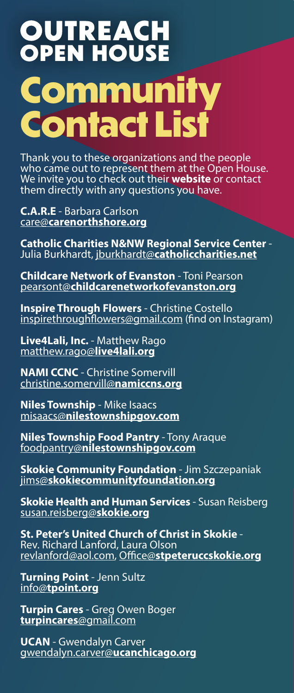## **OUTREACH**<br>**OPEN HOUSE Community Contact List**

Thank you to these organizations and the people who came out to represent them at the Open House. We invite you to check out their website or contact them directly with any questions you have.

C.A.R.E - Barbara Carlson care@carenorthshore.org

Catholic Charities N&NW Regional Service Center -<br>Julia Burkhardt, jburkhardt@catholiccharities.net

Childcare Network of Evanston - Toni Pearson pearsont@childcarenetworkofevanston.org

**Inspire Through Flowers - Christine Costello** inspirethroughflowers@gmail.com (find on Instagram)

Live4Lali, Inc. - Matthew Rago matthew.rago@live4lali.org

NAMI CCNC - Christine Somervill christine.somervill@namiccns.org

Niles Township - Mike Isaacs misaacs@nilestownshipgov.com

Niles Township Food Pantry - Tony Araque foodpantry@nilestownshipgov.com

**Skokie Community Foundation - Jim Szczepaniak** jims@skokiecommunityfoundation.org

**Skokie Health and Human Services - Susan Reisberg** susan.reisberg@skokie.org

St. Peter's United Church of Christ in Skokie -<br>Rev. Richard Lanford, Laura Olson revlanford@aol.com, Office@stpeteruccskokie.org

**Turning Point - Jenn Sultz** info@tpoint.org

**Turpin Cares - Greg Owen Boger** turpincares@gmail.com

UCAN - Gwendalyn Carver gwendalyn.carver@ucanchicago.org